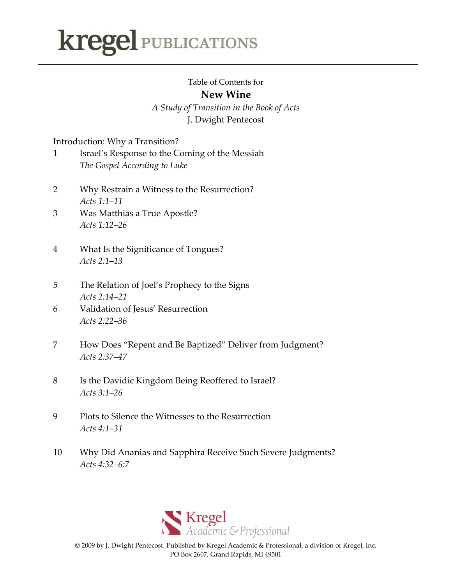## **kregel PUBLICATIONS**

## Table of Contents for

## **New Wine**

*A Study of Transition in the Book of Acts* J. Dwight Pentecost

Introduction: Why a Transition?

| Israel's Response to the Coming of the Messiah |
|------------------------------------------------|
| The Gospel According to Luke                   |

- 2 Why Restrain a Witness to the Resurrection? *Acts 1:1–11*
- 3 Was Matthias a True Apostle? *Acts 1:12–26*
- 4 What Is the Significance of Tongues? *Acts 2:1–13*
- 5 The Relation of Joel's Prophecy to the Signs *Acts 2:14–21*
- 6 Validation of Jesus' Resurrection *Acts 2:22–36*
- 7 How Does "Repent and Be Baptized" Deliver from Judgment? *Acts 2:37–47*
- 8 Is the Davidic Kingdom Being Reoffered to Israel? *Acts 3:1–26*
- 9 Plots to Silence the Witnesses to the Resurrection *Acts 4:1–31*
- 10 Why Did Ananias and Sapphira Receive Such Severe Judgments? *Acts 4:32–6:7*



© 2009 by J. Dwight Pentecost. Published by Kregel Academic & Professional, a division of Kregel, Inc. PO Box 2607, Grand Rapids, MI 49501